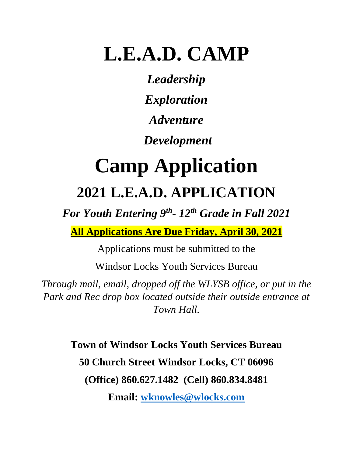## **L.E.A.D. CAMP**

*Leadership Exploration Adventure*

*Development* 

# **Camp Application 2021 L.E.A.D. APPLICATION**

*For Youth Entering 9th - 12th Grade in Fall 2021*

**All Applications Are Due Friday, April 30, 2021**

Applications must be submitted to the

Windsor Locks Youth Services Bureau

*Through mail, email, dropped off the WLYSB office, or put in the Park and Rec drop box located outside their outside entrance at Town Hall.*

> **Town of Windsor Locks Youth Services Bureau 50 Church Street Windsor Locks, CT 06096 (Office) 860.627.1482 (Cell) 860.834.8481**

> > **Email: [wknowles@wlocks.com](mailto:wknowles@wlocks.com)**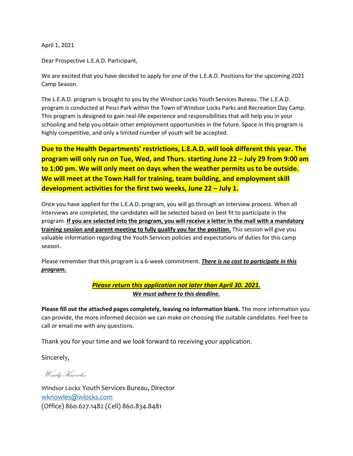April 1, 2021

Dear Prospective L.E.A.D. Participant,

We are excited that you have decided to apply for one of the L.E.A.D. Positions for the upcoming 2021 Camp Season.

The L.E.A.D. program is brought to you by the Windsor Locks Youth Services Bureau. The L.E.A.D. program is conducted at Pesci Park within the Town of Windsor Locks Parks and Recreation Day Camp. This program is designed to gain real-life experience and responsibilities that will help you in your schooling and help you obtain other employment opportunities in the future. Space in this program is highly competitive, and only a limited number of youth will be accepted.

**Due to the Health Departments' restrictions, L.E.A.D. will look different this year. The program will only run on Tue, Wed, and Thurs. starting June 22 – July 29 from 9:00 am to 1:00 pm. We will only meet on days when the weather permits us to be outside. We will meet at the Town Hall for training, team building, and employment skill development activities for the first two weeks, June 22 – July 1.**

Once you have applied for the L.E.A.D. program, you will go through an interview process. When all interviews are completed, the candidates will be selected based on best fit to participate in the program. **If you are selected into the program, you will receive a letter in the mail with a mandatory training session and parent meeting to fully qualify you for the position.** This session will give you valuable information regarding the Youth Services policies and expectations of duties for this camp season.

Please remember that this program is a 6-week commitment. *There is no cost to participate in this program.*

#### *Please return this application not later than April 30. 2021. We must adhere to this deadline.*

**Please fill out the attached pages completely, leaving no information blank.** The more information you can provide, the more informed decision we can make on choosing the suitable candidates. Feel free to call or email me with any questions.

Thank you for your time and we look forward to receiving your application.

Sincerely,

Wendy Knowles

Windsor Locks Youth Services Bureau, Director [wknowles@wlocks.com](mailto:wknowles@wlocks.com) (Office) 860.627.1482 (Cell) 860.834.8481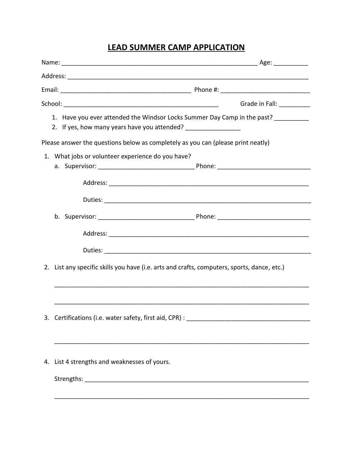### **LEAD SUMMER CAMP APPLICATION**

|                                                                                             | Grade in Fall: <b>Call</b> |
|---------------------------------------------------------------------------------------------|----------------------------|
| 1. Have you ever attended the Windsor Locks Summer Day Camp in the past? ________           |                            |
| Please answer the questions below as completely as you can (please print neatly)            |                            |
| 1. What jobs or volunteer experience do you have?                                           |                            |
|                                                                                             |                            |
|                                                                                             |                            |
|                                                                                             |                            |
|                                                                                             |                            |
|                                                                                             |                            |
| 2. List any specific skills you have (i.e. arts and crafts, computers, sports, dance, etc.) |                            |
|                                                                                             |                            |
| 3. Certifications (i.e. water safety, first aid, CPR) :                                     |                            |
|                                                                                             |                            |
| 4. List 4 strengths and weaknesses of yours.                                                |                            |
|                                                                                             |                            |
|                                                                                             |                            |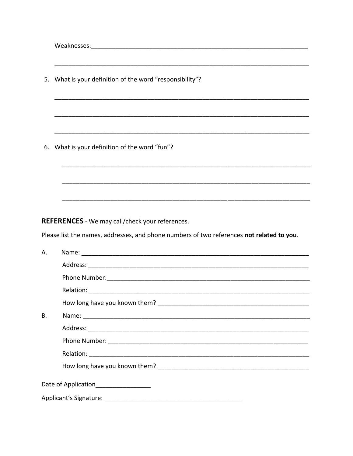5. What is your definition of the word "responsibility"? 6. What is your definition of the word "fun"? **REFERENCES** - We may call/check your references. Please list the names, addresses, and phone numbers of two references not related to you. Name: We have a state of the state of the state of the state of the state of the state of the state of the state of the state of the state of the state of the state of the state of the state of the state of the state of th A. Address: Analysis and the contract of the contract of the contract of the contract of the contract of the contract of the contract of the contract of the contract of the contract of the contract of the contract of the cont **B.** Date of Application\_\_\_\_\_\_\_\_\_\_\_\_\_\_\_\_\_\_